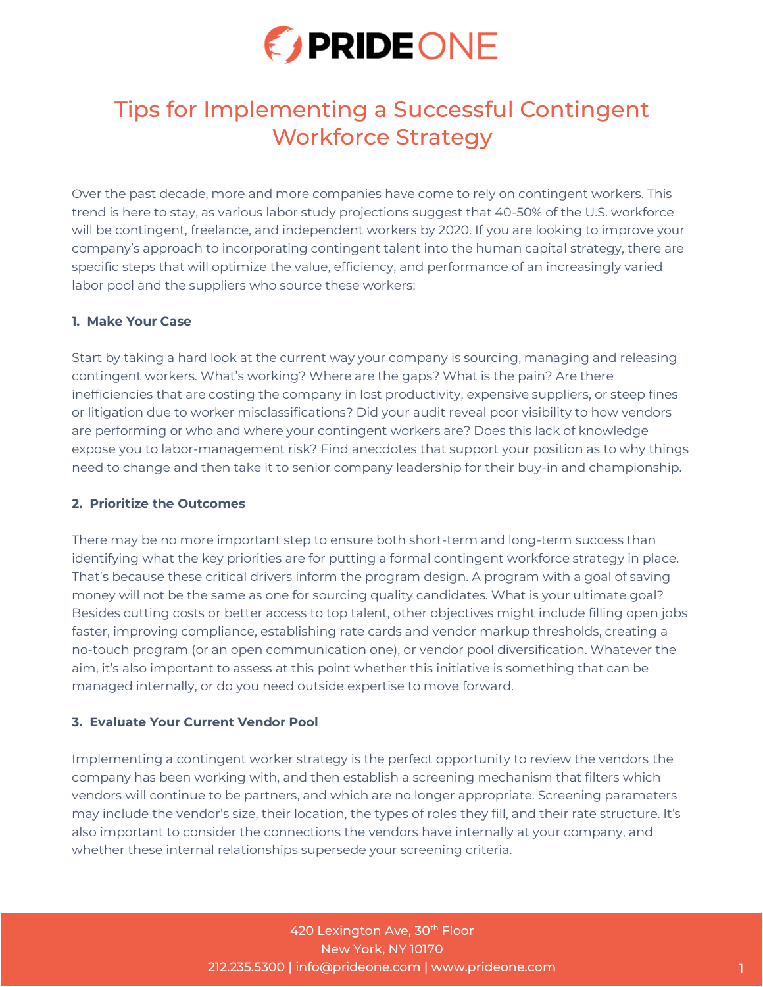

# Tips for Implementing a Successful Contingent Workforce Strategy

Over the past decade, more and more companies have come to rely on contingent workers. This trend is here to stay, as various labor study projections suggest that 40-50% of the U.S. workforce will be contingent, freelance, and independent workers by 2020. If you are looking to improve your company's approach to incorporating contingent talent into the human capital strategy, there are specific steps that will optimize the value, efficiency, and performance of an increasingly varied labor pool and the suppliers who source these workers:

## **1. Make Your Case**

Start by taking a hard look at the current way your company is sourcing, managing and releasing contingent workers. What's working? Where are the gaps? What is the pain? Are there inefficiencies that are costing the company in lost productivity, expensive suppliers, or steep fines or litigation due to worker misclassifications? Did your audit reveal poor visibility to how vendors are performing or who and where your contingent workers are? Does this lack of knowledge expose you to labor-management risk? Find anecdotes that support your position as to why things need to change and then take it to senior company leadership for their buy-in and championship.

#### **2. Prioritize the Outcomes**

There may be no more important step to ensure both short-term and long-term success than identifying what the key priorities are for putting a formal contingent workforce strategy in place. That's because these critical drivers inform the program design. A program with a goal of saving money will not be the same as one for sourcing quality candidates. What is your ultimate goal? Besides cutting costs or better access to top talent, other objectives might include filling open jobs faster, improving compliance, establishing rate cards and vendor markup thresholds, creating a no-touch program (or an open communication one), or vendor pool diversification. Whatever the aim, it's also important to assess at this point whether this initiative is something that can be managed internally, or do you need outside expertise to move forward.

# **3. Evaluate Your Current Vendor Pool**

Implementing a contingent worker strategy is the perfect opportunity to review the vendors the company has been working with, and then establish a screening mechanism that filters which vendors will continue to be partners, and which are no longer appropriate. Screening parameters may include the vendor's size, their location, the types of roles they fill, and their rate structure. It's also important to consider the connections the vendors have internally at your company, and whether these internal relationships supersede your screening criteria.